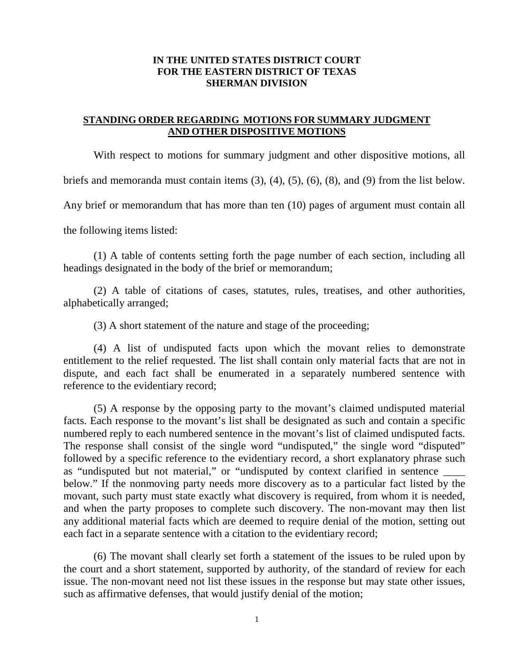## **IN THE UNITED STATES DISTRICT COURT FOR THE EASTERN DISTRICT OF TEXAS SHERMAN DIVISION**

## **STANDING ORDER REGARDING MOTIONS FOR SUMMARY JUDGMENT AND OTHER DISPOSITIVE MOTIONS**

With respect to motions for summary judgment and other dispositive motions, all briefs and memoranda must contain items (3), (4), (5), (6), (8), and (9) from the list below. Any brief or memorandum that has more than ten (10) pages of argument must contain all the following items listed:

(1) A table of contents setting forth the page number of each section, including all headings designated in the body of the brief or memorandum;

(2) A table of citations of cases, statutes, rules, treatises, and other authorities, alphabetically arranged;

(3) A short statement of the nature and stage of the proceeding;

(4) A list of undisputed facts upon which the movant relies to demonstrate entitlement to the relief requested. The list shall contain only material facts that are not in dispute, and each fact shall be enumerated in a separately numbered sentence with reference to the evidentiary record;

(5) A response by the opposing party to the movant's claimed undisputed material facts. Each response to the movant's list shall be designated as such and contain a specific numbered reply to each numbered sentence in the movant's list of claimed undisputed facts. The response shall consist of the single word "undisputed," the single word "disputed" followed by a specific reference to the evidentiary record, a short explanatory phrase such as "undisputed but not material," or "undisputed by context clarified in sentence below." If the nonmoving party needs more discovery as to a particular fact listed by the movant, such party must state exactly what discovery is required, from whom it is needed, and when the party proposes to complete such discovery. The non-movant may then list any additional material facts which are deemed to require denial of the motion, setting out each fact in a separate sentence with a citation to the evidentiary record;

(6) The movant shall clearly set forth a statement of the issues to be ruled upon by the court and a short statement, supported by authority, of the standard of review for each issue. The non-movant need not list these issues in the response but may state other issues, such as affirmative defenses, that would justify denial of the motion;